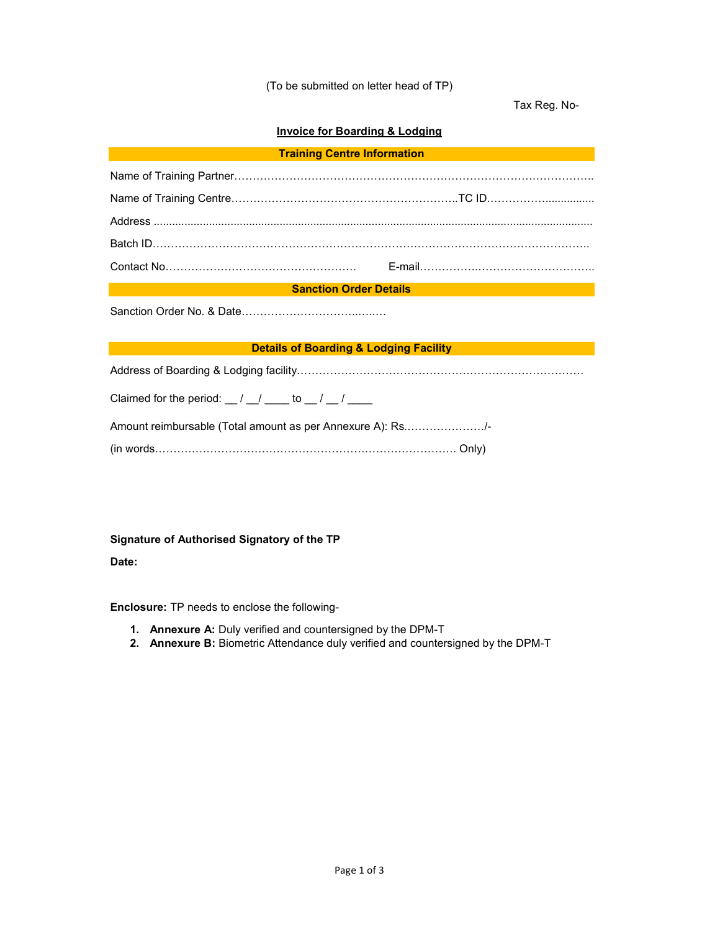#### (To be submitted on letter head of TP)

Tax Reg. No-

## **Invoice for Boarding & Lodging**

| <b>Training Centre Information</b> |  |
|------------------------------------|--|
|                                    |  |

| <b>Sanction Order Details</b> |  |  |  |  |
|-------------------------------|--|--|--|--|

Sanction Order No. & Date....

### **Details of Boarding & Lodging Facility**

Address of Boarding & Lodging facility

Claimed for the period:  $\frac{1}{2}$  /  $\frac{1}{2}$  /  $\frac{1}{2}$  /  $\frac{1}{2}$ 

| Amount reimbursable (Total amount as per Annexure A): Rs/- |  |
|------------------------------------------------------------|--|
|                                                            |  |

|--|--|

#### **Signature of Authorised Signatory of the TP**

**Date:** 

**Enclosure:** TP needs to enclose the following-

- **1. Annexure A:** Duly verified and countersigned by the DPM-T
- **2. Annexure B:** Biometric Attendance duly verified and countersigned by the DPM-T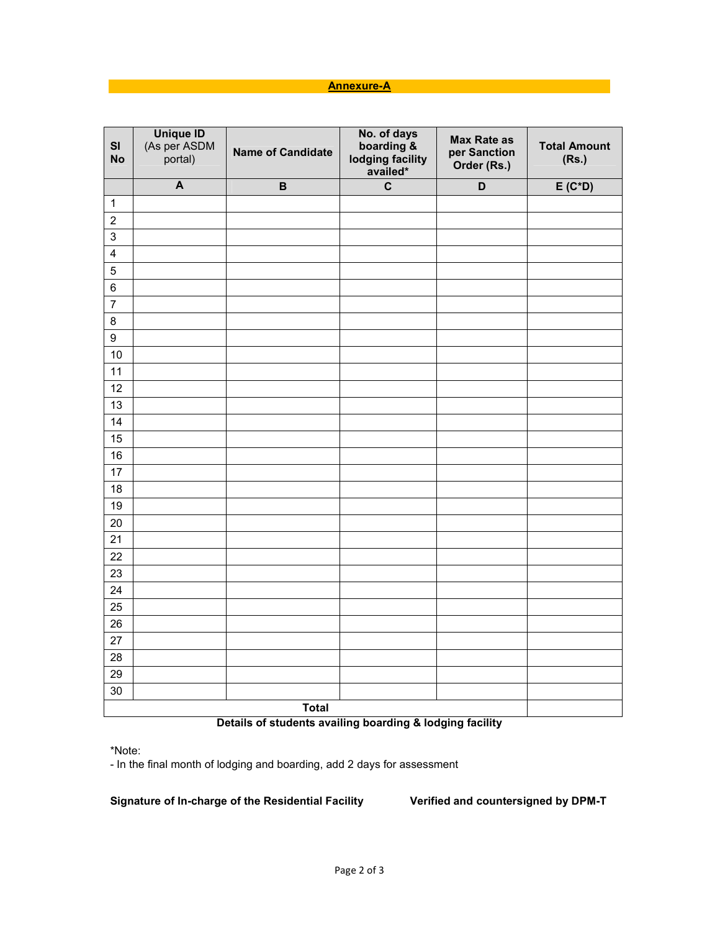## **Annexure-A**

| SI<br><b>No</b>         | Unique ID<br>(As per ASDM<br>portal) | <b>Name of Candidate</b> | No. of days<br>boarding &<br>lodging facility<br>availed* | <b>Max Rate as</b><br>per Sanction<br>Order (Rs.) | <b>Total Amount</b><br>(Rs.) |
|-------------------------|--------------------------------------|--------------------------|-----------------------------------------------------------|---------------------------------------------------|------------------------------|
|                         | $\overline{A}$                       | $\, {\bf B}$             | $\mathbf c$                                               | D                                                 | $E(C*D)$                     |
| $\mathbf{1}$            |                                      |                          |                                                           |                                                   |                              |
| $\overline{2}$          |                                      |                          |                                                           |                                                   |                              |
| $\mathsf 3$             |                                      |                          |                                                           |                                                   |                              |
| $\overline{\mathbf{4}}$ |                                      |                          |                                                           |                                                   |                              |
| 5                       |                                      |                          |                                                           |                                                   |                              |
| $\,6$                   |                                      |                          |                                                           |                                                   |                              |
| $\overline{7}$          |                                      |                          |                                                           |                                                   |                              |
| 8                       |                                      |                          |                                                           |                                                   |                              |
| $\boldsymbol{9}$        |                                      |                          |                                                           |                                                   |                              |
| 10                      |                                      |                          |                                                           |                                                   |                              |
| 11                      |                                      |                          |                                                           |                                                   |                              |
| 12                      |                                      |                          |                                                           |                                                   |                              |
| 13                      |                                      |                          |                                                           |                                                   |                              |
| 14                      |                                      |                          |                                                           |                                                   |                              |
| 15                      |                                      |                          |                                                           |                                                   |                              |
| 16                      |                                      |                          |                                                           |                                                   |                              |
| 17                      |                                      |                          |                                                           |                                                   |                              |
| 18                      |                                      |                          |                                                           |                                                   |                              |
| 19                      |                                      |                          |                                                           |                                                   |                              |
| 20                      |                                      |                          |                                                           |                                                   |                              |
| 21                      |                                      |                          |                                                           |                                                   |                              |
| 22                      |                                      |                          |                                                           |                                                   |                              |
| 23                      |                                      |                          |                                                           |                                                   |                              |
| 24                      |                                      |                          |                                                           |                                                   |                              |
| 25                      |                                      |                          |                                                           |                                                   |                              |
| 26                      |                                      |                          |                                                           |                                                   |                              |
| 27                      |                                      |                          |                                                           |                                                   |                              |
| 28                      |                                      |                          |                                                           |                                                   |                              |
| 29                      |                                      |                          |                                                           |                                                   |                              |
| 30                      |                                      |                          |                                                           |                                                   |                              |
| <b>Total</b>            |                                      |                          |                                                           |                                                   |                              |

# **Details of students availing boarding & lodging facility**

\*Note:

- In the final month of lodging and boarding, add 2 days for assessment

**Signature of In-charge of the Residential Facility Verified and countersigned by DPM-T**